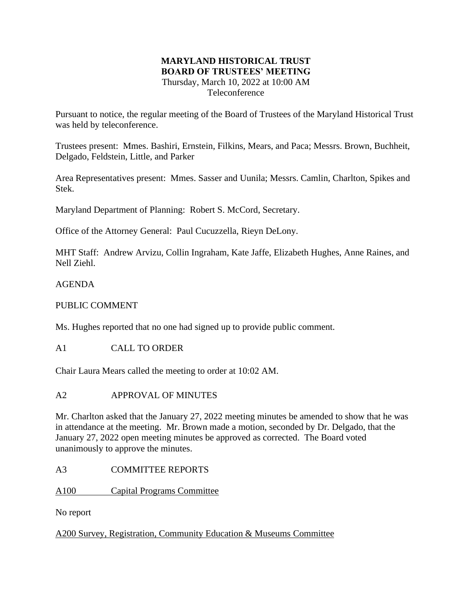#### **MARYLAND HISTORICAL TRUST BOARD OF TRUSTEES' MEETING** Thursday, March 10, 2022 at 10:00 AM Teleconference

Pursuant to notice, the regular meeting of the Board of Trustees of the Maryland Historical Trust was held by teleconference.

Trustees present: Mmes. Bashiri, Ernstein, Filkins, Mears, and Paca; Messrs. Brown, Buchheit, Delgado, Feldstein, Little, and Parker

Area Representatives present: Mmes. Sasser and Uunila; Messrs. Camlin, Charlton, Spikes and Stek.

Maryland Department of Planning: Robert S. McCord, Secretary.

Office of the Attorney General: Paul Cucuzzella, Rieyn DeLony.

MHT Staff: Andrew Arvizu, Collin Ingraham, Kate Jaffe, Elizabeth Hughes, Anne Raines, and Nell Ziehl.

AGENDA

PUBLIC COMMENT

Ms. Hughes reported that no one had signed up to provide public comment.

A1 CALL TO ORDER

Chair Laura Mears called the meeting to order at 10:02 AM.

# A2 APPROVAL OF MINUTES

Mr. Charlton asked that the January 27, 2022 meeting minutes be amended to show that he was in attendance at the meeting. Mr. Brown made a motion, seconded by Dr. Delgado, that the January 27, 2022 open meeting minutes be approved as corrected. The Board voted unanimously to approve the minutes.

# A3 COMMITTEE REPORTS

A100 Capital Programs Committee

No report

A200 Survey, Registration, Community Education & Museums Committee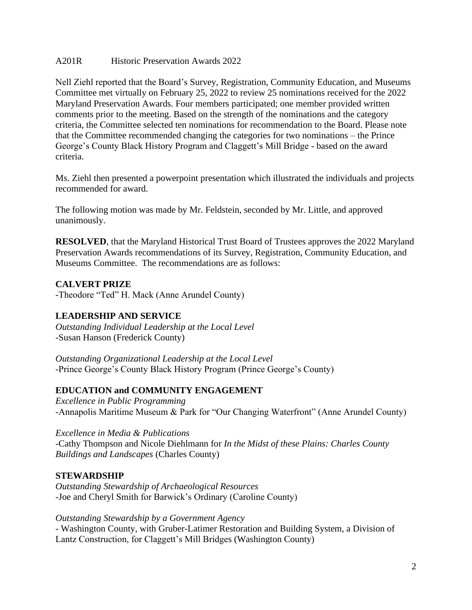#### A201R Historic Preservation Awards 2022

Nell Ziehl reported that the Board's Survey, Registration, Community Education, and Museums Committee met virtually on February 25, 2022 to review 25 nominations received for the 2022 Maryland Preservation Awards. Four members participated; one member provided written comments prior to the meeting. Based on the strength of the nominations and the category criteria, the Committee selected ten nominations for recommendation to the Board. Please note that the Committee recommended changing the categories for two nominations – the Prince George's County Black History Program and Claggett's Mill Bridge - based on the award criteria.

Ms. Ziehl then presented a powerpoint presentation which illustrated the individuals and projects recommended for award.

The following motion was made by Mr. Feldstein, seconded by Mr. Little, and approved unanimously.

**RESOLVED**, that the Maryland Historical Trust Board of Trustees approves the 2022 Maryland Preservation Awards recommendations of its Survey, Registration, Community Education, and Museums Committee. The recommendations are as follows:

## **CALVERT PRIZE**

-Theodore "Ted" H. Mack (Anne Arundel County)

## **LEADERSHIP AND SERVICE**

*Outstanding Individual Leadership at the Local Level* -Susan Hanson (Frederick County)

*Outstanding Organizational Leadership at the Local Level* -Prince George's County Black History Program (Prince George's County)

## **EDUCATION and COMMUNITY ENGAGEMENT**

*Excellence in Public Programming* -Annapolis Maritime Museum & Park for "Our Changing Waterfront" (Anne Arundel County)

*Excellence in Media & Publications* -Cathy Thompson and Nicole Diehlmann for *In the Midst of these Plains: Charles County Buildings and Landscapes* (Charles County)

## **STEWARDSHIP**

*Outstanding Stewardship of Archaeological Resources* -Joe and Cheryl Smith for Barwick's Ordinary (Caroline County)

*Outstanding Stewardship by a Government Agency*

- Washington County, with Gruber-Latimer Restoration and Building System, a Division of Lantz Construction, for Claggett's Mill Bridges (Washington County)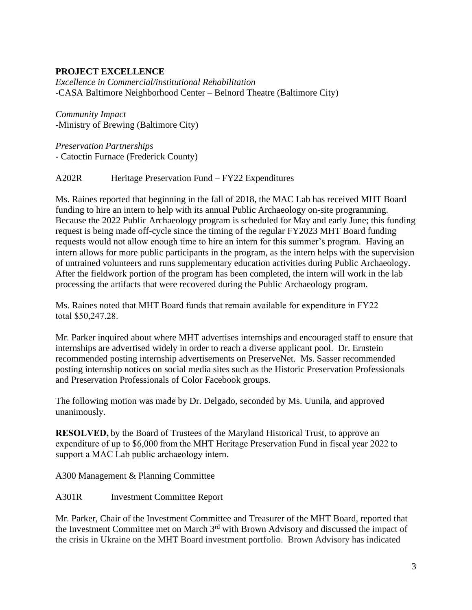## **PROJECT EXCELLENCE**

*Excellence in Commercial/institutional Rehabilitation* -CASA Baltimore Neighborhood Center – Belnord Theatre (Baltimore City)

*Community Impact* -Ministry of Brewing (Baltimore City)

*Preservation Partnerships* - Catoctin Furnace (Frederick County)

A202R Heritage Preservation Fund – FY22 Expenditures

Ms. Raines reported that beginning in the fall of 2018, the MAC Lab has received MHT Board funding to hire an intern to help with its annual Public Archaeology on-site programming. Because the 2022 Public Archaeology program is scheduled for May and early June; this funding request is being made off-cycle since the timing of the regular FY2023 MHT Board funding requests would not allow enough time to hire an intern for this summer's program. Having an intern allows for more public participants in the program, as the intern helps with the supervision of untrained volunteers and runs supplementary education activities during Public Archaeology. After the fieldwork portion of the program has been completed, the intern will work in the lab processing the artifacts that were recovered during the Public Archaeology program.

Ms. Raines noted that MHT Board funds that remain available for expenditure in FY22 total \$50,247.28.

Mr. Parker inquired about where MHT advertises internships and encouraged staff to ensure that internships are advertised widely in order to reach a diverse applicant pool. Dr. Ernstein recommended posting internship advertisements on PreserveNet. Ms. Sasser recommended posting internship notices on social media sites such as the Historic Preservation Professionals and Preservation Professionals of Color Facebook groups.

The following motion was made by Dr. Delgado, seconded by Ms. Uunila, and approved unanimously.

**RESOLVED,**by the Board of Trustees of the Maryland Historical Trust, to approve an expenditure of up to \$6,000 from the MHT Heritage Preservation Fund in fiscal year 2022 to support a MAC Lab public archaeology intern.  

A300 Management & Planning Committee

A301R Investment Committee Report

Mr. Parker, Chair of the Investment Committee and Treasurer of the MHT Board, reported that the Investment Committee met on March 3rd with Brown Advisory and discussed the impact of the crisis in Ukraine on the MHT Board investment portfolio. Brown Advisory has indicated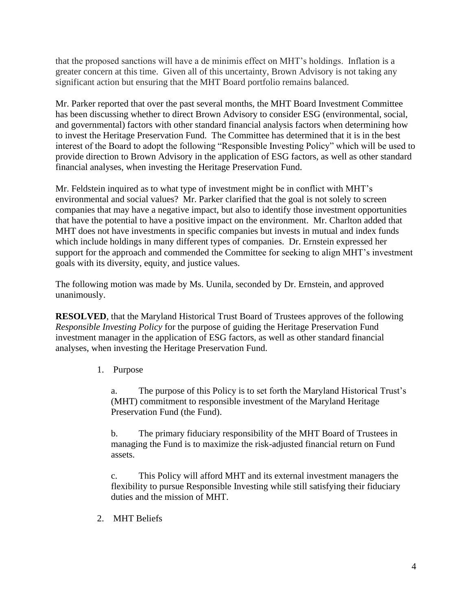that the proposed sanctions will have a de minimis effect on MHT's holdings. Inflation is a greater concern at this time. Given all of this uncertainty, Brown Advisory is not taking any significant action but ensuring that the MHT Board portfolio remains balanced.

Mr. Parker reported that over the past several months, the MHT Board Investment Committee has been discussing whether to direct Brown Advisory to consider ESG (environmental, social, and governmental) factors with other standard financial analysis factors when determining how to invest the Heritage Preservation Fund. The Committee has determined that it is in the best interest of the Board to adopt the following "Responsible Investing Policy" which will be used to provide direction to Brown Advisory in the application of ESG factors, as well as other standard financial analyses, when investing the Heritage Preservation Fund.

Mr. Feldstein inquired as to what type of investment might be in conflict with MHT's environmental and social values? Mr. Parker clarified that the goal is not solely to screen companies that may have a negative impact, but also to identify those investment opportunities that have the potential to have a positive impact on the environment. Mr. Charlton added that MHT does not have investments in specific companies but invests in mutual and index funds which include holdings in many different types of companies. Dr. Ernstein expressed her support for the approach and commended the Committee for seeking to align MHT's investment goals with its diversity, equity, and justice values.

The following motion was made by Ms. Uunila, seconded by Dr. Ernstein, and approved unanimously.

**RESOLVED**, that the Maryland Historical Trust Board of Trustees approves of the following *Responsible Investing Policy* for the purpose of guiding the Heritage Preservation Fund investment manager in the application of ESG factors, as well as other standard financial analyses, when investing the Heritage Preservation Fund.

1. Purpose

a. The purpose of this Policy is to set forth the Maryland Historical Trust's (MHT) commitment to responsible investment of the Maryland Heritage Preservation Fund (the Fund).

b. The primary fiduciary responsibility of the MHT Board of Trustees in managing the Fund is to maximize the risk-adjusted financial return on Fund assets.

c. This Policy will afford MHT and its external investment managers the flexibility to pursue Responsible Investing while still satisfying their fiduciary duties and the mission of MHT.

2. MHT Beliefs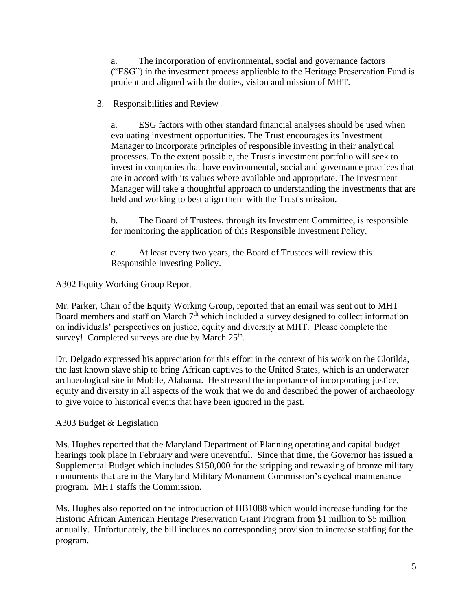a. The incorporation of environmental, social and governance factors ("ESG") in the investment process applicable to the Heritage Preservation Fund is prudent and aligned with the duties, vision and mission of MHT.

3. Responsibilities and Review

a. ESG factors with other standard financial analyses should be used when evaluating investment opportunities. The Trust encourages its Investment Manager to incorporate principles of responsible investing in their analytical processes. To the extent possible, the Trust's investment portfolio will seek to invest in companies that have environmental, social and governance practices that are in accord with its values where available and appropriate. The Investment Manager will take a thoughtful approach to understanding the investments that are held and working to best align them with the Trust's mission.

b. The Board of Trustees, through its Investment Committee, is responsible for monitoring the application of this Responsible Investment Policy.

c. At least every two years, the Board of Trustees will review this Responsible Investing Policy.

## A302 Equity Working Group Report

Mr. Parker, Chair of the Equity Working Group, reported that an email was sent out to MHT Board members and staff on March 7<sup>th</sup> which included a survey designed to collect information on individuals' perspectives on justice, equity and diversity at MHT. Please complete the survey! Completed surveys are due by March  $25<sup>th</sup>$ .

Dr. Delgado expressed his appreciation for this effort in the context of his work on the Clotilda, the last known slave ship to bring African captives to the United States, which is an underwater archaeological site in Mobile, Alabama. He stressed the importance of incorporating justice, equity and diversity in all aspects of the work that we do and described the power of archaeology to give voice to historical events that have been ignored in the past.

## A303 Budget & Legislation

Ms. Hughes reported that the Maryland Department of Planning operating and capital budget hearings took place in February and were uneventful. Since that time, the Governor has issued a Supplemental Budget which includes \$150,000 for the stripping and rewaxing of bronze military monuments that are in the Maryland Military Monument Commission's cyclical maintenance program. MHT staffs the Commission.

Ms. Hughes also reported on the introduction of HB1088 which would increase funding for the Historic African American Heritage Preservation Grant Program from \$1 million to \$5 million annually. Unfortunately, the bill includes no corresponding provision to increase staffing for the program.